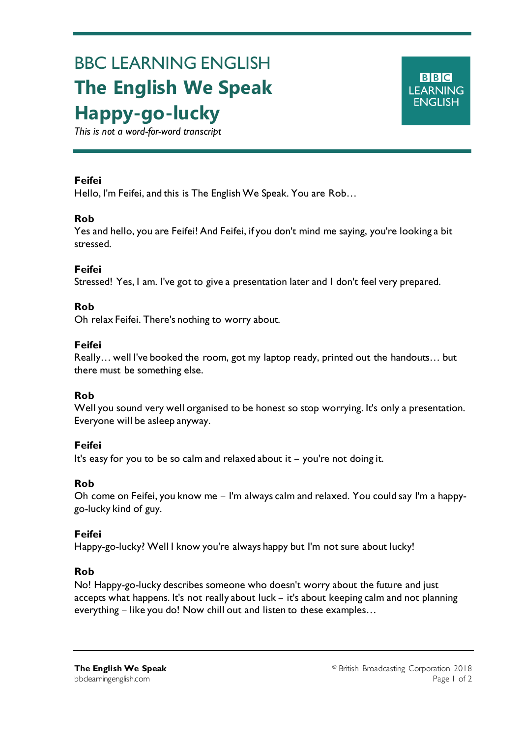# BBC LEARNING ENGLISH **The English We Speak Happy-go-lucky**

*This is not a word-for-word transcript*

# **Feifei**

Ξ

Hello, I'm Feifei, and this is The English We Speak. You are Rob…

# **Rob**

Yes and hello, you are Feifei! And Feifei, if you don't mind me saying, you're looking a bit stressed.

# **Feifei**

Stressed! Yes, I am. I've got to give a presentation later and I don't feel very prepared.

# **Rob**

Oh relax Feifei. There's nothing to worry about.

# **Feifei**

Really… well I've booked the room, got my laptop ready, printed out the handouts… but there must be something else.

#### **Rob**

Well you sound very well organised to be honest so stop worrying. It's only a presentation. Everyone will be asleep anyway.

#### **Feifei**

It's easy for you to be so calm and relaxed about it – you're not doing it.

#### **Rob**

Oh come on Feifei, you know me – I'm always calm and relaxed. You could say I'm a happygo-lucky kind of guy.

#### **Feifei**

Happy-go-lucky? Well I know you're always happy but I'm not sure about lucky!

#### **Rob**

No! Happy-go-lucky describes someone who doesn't worry about the future and just accepts what happens. It's not really about luck – it's about keeping calm and not planning everything – like you do! Now chill out and listen to these examples…